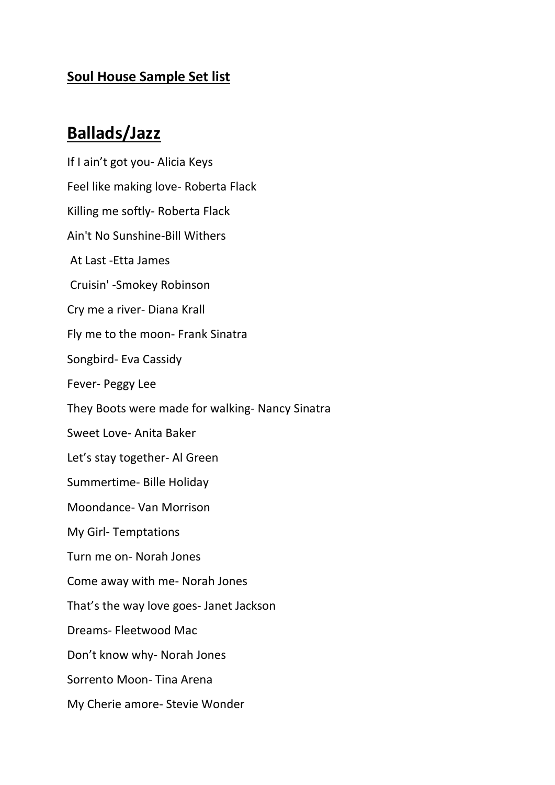#### **Soul House Sample Set list**

## **Ballads/Jazz**

If I ain't got you- Alicia Keys Feel like making love- Roberta Flack Killing me softly- Roberta Flack Ain't No Sunshine-Bill Withers At Last -Etta James Cruisin' -Smokey Robinson Cry me a river- Diana Krall Fly me to the moon- Frank Sinatra Songbird- Eva Cassidy Fever- Peggy Lee They Boots were made for walking- Nancy Sinatra Sweet Love- Anita Baker Let's stay together- Al Green Summertime- Bille Holiday Moondance- Van Morrison My Girl- Temptations Turn me on- Norah Jones Come away with me- Norah Jones That's the way love goes- Janet Jackson Dreams- Fleetwood Mac Don't know why- Norah Jones Sorrento Moon- Tina Arena My Cherie amore- Stevie Wonder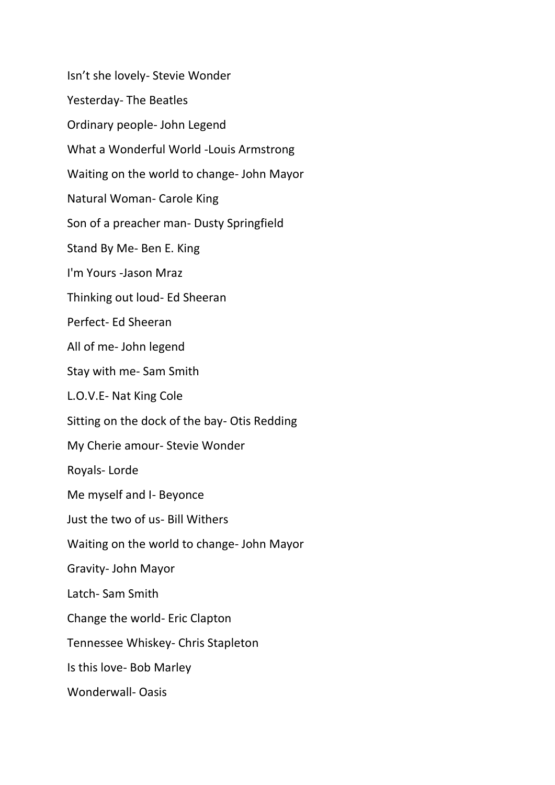Isn't she lovely- Stevie Wonder Yesterday- The Beatles Ordinary people- John Legend What a Wonderful World -Louis Armstrong Waiting on the world to change- John Mayor Natural Woman- Carole King Son of a preacher man- Dusty Springfield Stand By Me- Ben E. King I'm Yours -Jason Mraz Thinking out loud- Ed Sheeran Perfect- Ed Sheeran All of me- John legend Stay with me- Sam Smith L.O.V.E- Nat King Cole Sitting on the dock of the bay- Otis Redding My Cherie amour- Stevie Wonder Royals- Lorde Me myself and I- Beyonce Just the two of us- Bill Withers Waiting on the world to change- John Mayor Gravity- John Mayor Latch- Sam Smith Change the world- Eric Clapton Tennessee Whiskey- Chris Stapleton Is this love- Bob Marley Wonderwall- Oasis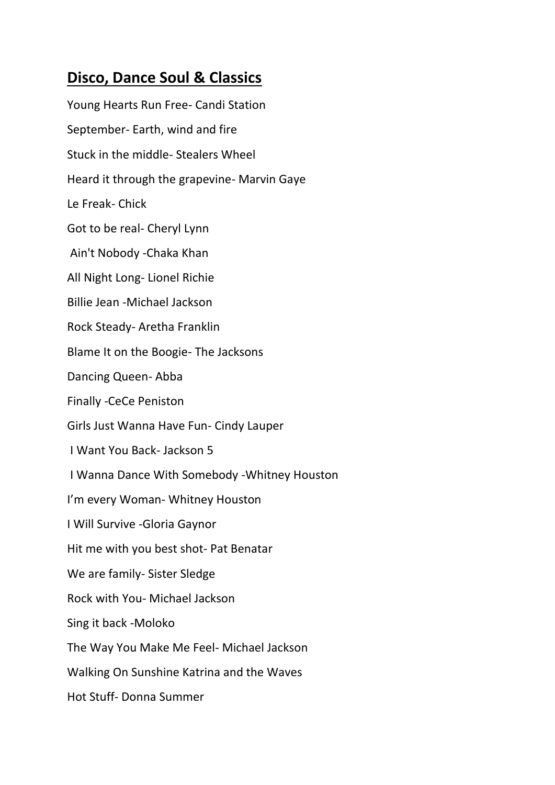### **Disco, Dance Soul & Classics**

Young Hearts Run Free- Candi Station September- Earth, wind and fire Stuck in the middle- Stealers Wheel Heard it through the grapevine- Marvin Gaye Le Freak- Chick Got to be real- Cheryl Lynn Ain't Nobody -Chaka Khan All Night Long- Lionel Richie Billie Jean -Michael Jackson Rock Steady- Aretha Franklin Blame It on the Boogie- The Jacksons Dancing Queen- Abba Finally -CeCe Peniston Girls Just Wanna Have Fun- Cindy Lauper I Want You Back- Jackson 5 I Wanna Dance With Somebody -Whitney Houston I'm every Woman- Whitney Houston I Will Survive -Gloria Gaynor Hit me with you best shot- Pat Benatar We are family- Sister Sledge Rock with You- Michael Jackson Sing it back -Moloko The Way You Make Me Feel- Michael Jackson Walking On Sunshine Katrina and the Waves Hot Stuff- Donna Summer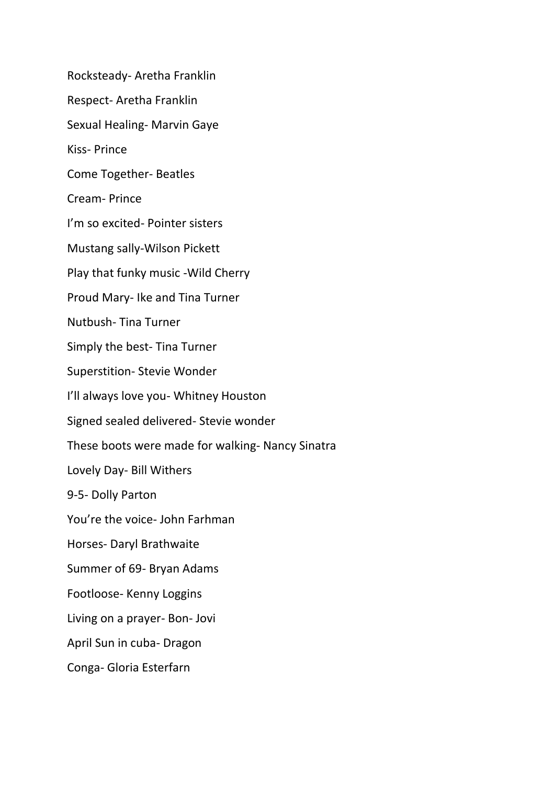Rocksteady- Aretha Franklin Respect- Aretha Franklin Sexual Healing- Marvin Gaye Kiss- Prince Come Together- Beatles Cream- Prince I'm so excited- Pointer sisters Mustang sally-Wilson Pickett Play that funky music -Wild Cherry Proud Mary- Ike and Tina Turner Nutbush- Tina Turner Simply the best- Tina Turner Superstition- Stevie Wonder I'll always love you- Whitney Houston Signed sealed delivered- Stevie wonder These boots were made for walking- Nancy Sinatra Lovely Day- Bill Withers 9-5- Dolly Parton You're the voice- John Farhman Horses- Daryl Brathwaite Summer of 69- Bryan Adams Footloose- Kenny Loggins Living on a prayer- Bon- Jovi April Sun in cuba- Dragon Conga- Gloria Esterfarn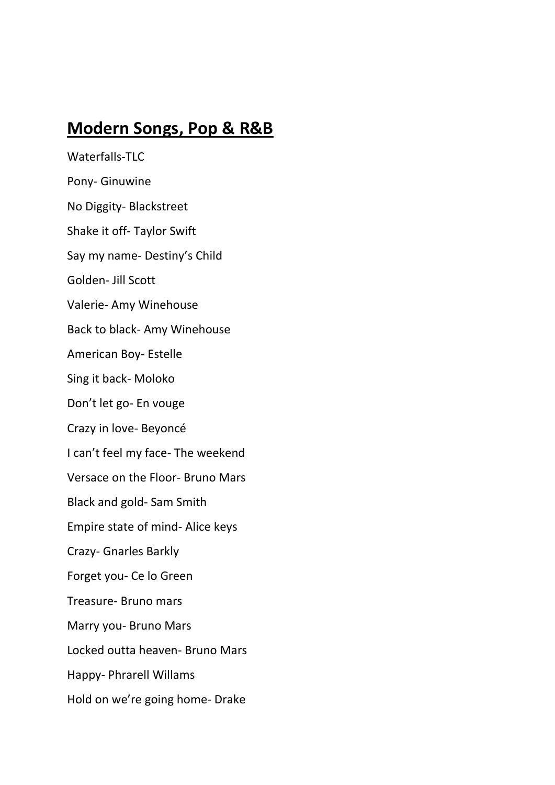# **Modern Songs, Pop & R&B**

Waterfalls-TLC Pony- Ginuwine No Diggity- Blackstreet Shake it off- Taylor Swift Say my name- Destiny's Child Golden- Jill Scott Valerie- Amy Winehouse Back to black- Amy Winehouse American Boy- Estelle Sing it back- Moloko Don't let go- En vouge Crazy in love- Beyoncé I can't feel my face- The weekend Versace on the Floor- Bruno Mars Black and gold- Sam Smith Empire state of mind- Alice keys Crazy- Gnarles Barkly Forget you- Ce lo Green Treasure- Bruno mars Marry you- Bruno Mars Locked outta heaven- Bruno Mars Happy- Phrarell Willams Hold on we're going home- Drake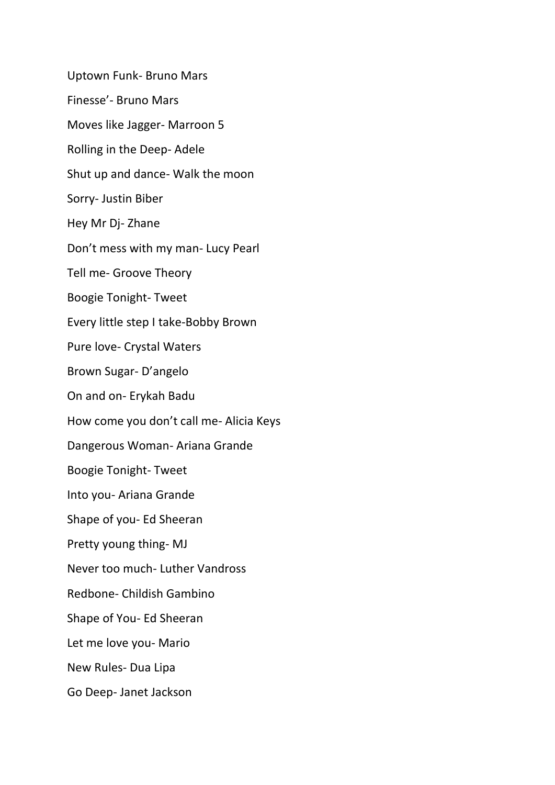Uptown Funk- Bruno Mars Finesse'- Bruno Mars Moves like Jagger- Marroon 5 Rolling in the Deep- Adele Shut up and dance- Walk the moon Sorry- Justin Biber Hey Mr Dj- Zhane Don't mess with my man- Lucy Pearl Tell me- Groove Theory Boogie Tonight- Tweet Every little step I take-Bobby Brown Pure love- Crystal Waters Brown Sugar- D'angelo On and on- Erykah Badu How come you don't call me- Alicia Keys Dangerous Woman- Ariana Grande Boogie Tonight- Tweet Into you- Ariana Grande Shape of you- Ed Sheeran Pretty young thing- MJ Never too much- Luther Vandross Redbone- Childish Gambino Shape of You- Ed Sheeran Let me love you- Mario New Rules- Dua Lipa Go Deep- Janet Jackson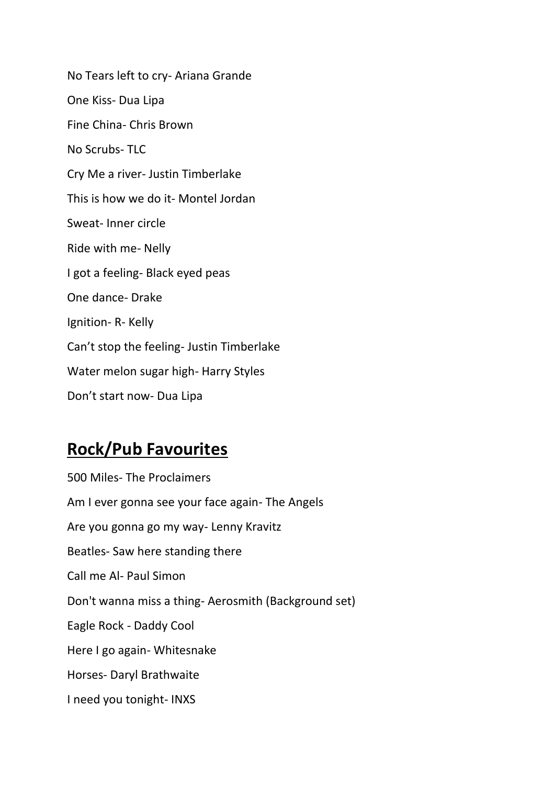No Tears left to cry- Ariana Grande One Kiss- Dua Lipa Fine China- Chris Brown No Scrubs- TLC Cry Me a river- Justin Timberlake This is how we do it- Montel Jordan Sweat- Inner circle Ride with me- Nelly I got a feeling- Black eyed peas One dance- Drake Ignition- R- Kelly Can't stop the feeling- Justin Timberlake Water melon sugar high- Harry Styles Don't start now- Dua Lipa

# **Rock/Pub Favourites**

500 Miles- The Proclaimers Am I ever gonna see your face again- The Angels Are you gonna go my way- Lenny Kravitz Beatles- Saw here standing there Call me Al- Paul Simon Don't wanna miss a thing- Aerosmith (Background set) Eagle Rock - Daddy Cool Here I go again- Whitesnake Horses- Daryl Brathwaite I need you tonight- INXS